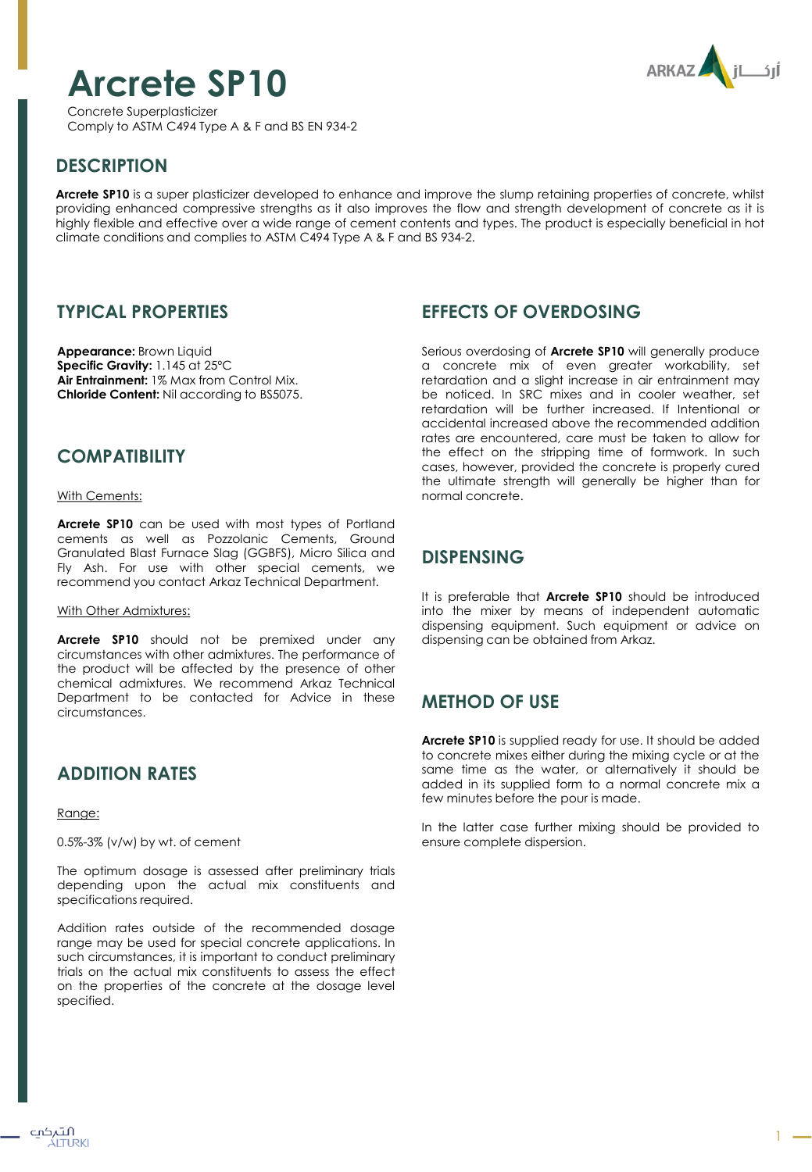# **Arcrete SP10**

Concrete Superplasticizer Comply to ASTM C494 Type A & F and BS EN 934-2



## **DESCRIPTION**

**Arcrete SP10** is a super plasticizer developed to enhance and improve the slump retaining properties of concrete, whilst providing enhanced compressive strengths as it also improves the flow and strength development of concrete as it is highly flexible and effective over a wide range of cement contents and types. The product is especially beneficial in hot climate conditions and complies to ASTM C494 Type A & F and BS 934-2.

#### **TYPICAL PROPERTIES**

**Appearance:** Brown Liquid **Specific Gravity:** 1.145 at 25ºC **Air Entrainment:** 1% Max from Control Mix. **Chloride Content:** Nil according to BS5075.

#### **COMPATIBILITY**

With Cements:

**Arcrete SP10** can be used with most types of Portland cements as well as Pozzolanic Cements, Ground Granulated Blast Furnace Slag (GGBFS), Micro Silica and Fly Ash. For use with other special cements, we recommend you contact Arkaz Technical Department.

#### With Other Admixtures:

**Arcrete SP10** should not be premixed under any circumstances with other admixtures. The performance of the product will be affected by the presence of other chemical admixtures. We recommend Arkaz Technical Department to be contacted for Advice in these circumstances.

## **ADDITION RATES**

Range:

0.5%-3% (v/w) by wt. of cement

The optimum dosage is assessed after preliminary trials depending upon the actual mix constituents and specifications required.

Addition rates outside of the recommended dosage range may be used for special concrete applications. In such circumstances, it is important to conduct preliminary trials on the actual mix constituents to assess the effect on the properties of the concrete at the dosage level specified.

## **EFFECTS OF OVERDOSING**

Serious overdosing of **Arcrete SP10** will generally produce a concrete mix of even greater workability, set retardation and a slight increase in air entrainment may be noticed. In SRC mixes and in cooler weather, set retardation will be further increased. If Intentional or accidental increased above the recommended addition rates are encountered, care must be taken to allow for the effect on the stripping time of formwork. In such cases, however, provided the concrete is properly cured the ultimate strength will generally be higher than for normal concrete.

## **DISPENSING**

It is preferable that **Arcrete SP10** should be introduced into the mixer by means of independent automatic dispensing equipment. Such equipment or advice on dispensing can be obtained from Arkaz.

# **METHOD OF USE**

**Arcrete SP10** is supplied ready for use. It should be added to concrete mixes either during the mixing cycle or at the same time as the water, or alternatively it should be added in its supplied form to a normal concrete mix a few minutes before the pour is made.

In the latter case further mixing should be provided to ensure complete dispersion.